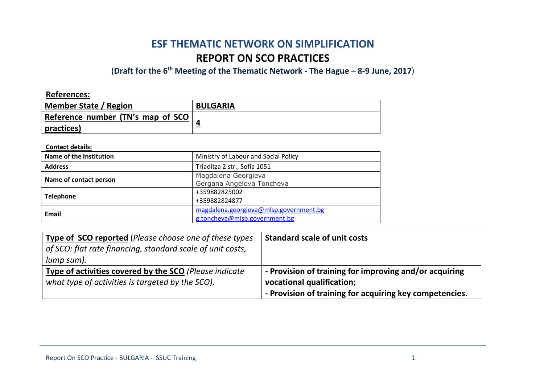# **ESF THEMATIC NETWORK ON SIMPLIFICATION REPORT ON SCO PRACTICES**

# (**Draft for the 6th Meeting of the Thematic Network - The Hague – 8-9 June, 2017**)

**References:** 

| <b>Member State / Region</b>       | <b>BULGARIA</b> |
|------------------------------------|-----------------|
| Reference number (TN's map of SCO) |                 |
| practices)                         |                 |

**Contact details:**

| Name of the Institution | Ministry of Labour and Social Policy                                    |
|-------------------------|-------------------------------------------------------------------------|
| <b>Address</b>          | Triaditza 2 str., Sofia 1051                                            |
| Name of contact person  | Magdalena Georgieva<br>Gergana Angelova Toncheva                        |
| <b>Telephone</b>        | +359882825002<br>+359882824877                                          |
| Email                   | magdalena.georgieva@mlsp.government.bg<br>g.toncheva@mlsp.government.bg |

| Type of SCO reported (Please choose one of these types<br>$\vert$ of SCO: flat rate financing, standard scale of unit costs,<br>lump sum). | <b>Standard scale of unit costs</b>                                                 |
|--------------------------------------------------------------------------------------------------------------------------------------------|-------------------------------------------------------------------------------------|
| Type of activities covered by the SCO (Please indicate<br>what type of activities is targeted by the SCO).                                 | - Provision of training for improving and/or acquiring<br>vocational qualification; |
|                                                                                                                                            | - Provision of training for acquiring key competencies.                             |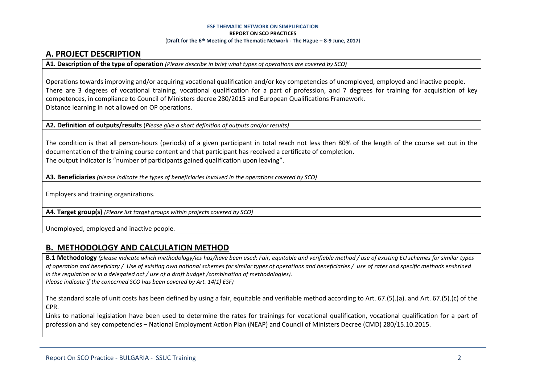#### **ESF THEMATIC NETWORK ON SIMPLIFICATION REPORT ON SCO PRACTICES** (**Draft for the 6th Meeting of the Thematic Network - The Hague – 8-9 June, 2017**)

# **A. PROJECT DESCRIPTION**

**A1. Description of the type of operation** *(Please describe in brief what types of operations are covered by SCO)*

Operations towards improving and/or acquiring vocational qualification and/or key competencies of unemployed, employed and inactive people. There are 3 degrees of vocational training, vocational qualification for a part of profession, and 7 degrees for training for acquisition of key competences, in compliance to Council of Ministers decree 280/2015 and European Qualifications Framework. Distance learning in not allowed on OP operations.

**A2. Definition of outputs/results** (*Please give a short definition of outputs and/or results)*

The condition is that all person-hours (periods) of a given participant in total reach not less then 80% of the length of the course set out in the documentation of the training course content and that participant has received a certificate of completion. The output indicator Is "number of participants gained qualification upon leaving".

**A3. Beneficiaries** *(please indicate the types of beneficiaries involved in the operations covered by SCO)*

Employers and training organizations.

**A4. Target group(s)** *(Please list target groups within projects covered by SCO)*

Unemployed, employed and inactive people.

## **B. METHODOLOGY AND CALCULATION METHOD**

**B.1 Methodology** *(please indicate which methodology/ies has/have been used: Fair, equitable and verifiable method / use of existing EU schemes for similar types of operation and beneficiary / Use of existing own national schemes for similar types of operations and beneficiaries / use of rates and specific methods enshrined in the regulation or in a delegated act / use of a draft budget /combination of methodologies). Please indicate if the concerned SCO has been covered by Art. 14(1) ESF)*

The standard scale of unit costs has been defined by using a fair, equitable and verifiable method according to Art. 67.(5).(a). and Art. 67.(5).(c) of the CPR.

Links to national legislation have been used to determine the rates for trainings for vocational qualification, vocational qualification for a part of profession and key competencies – National Employment Action Plan (NEAP) and Council of Ministers Decree (CMD) 280/15.10.2015.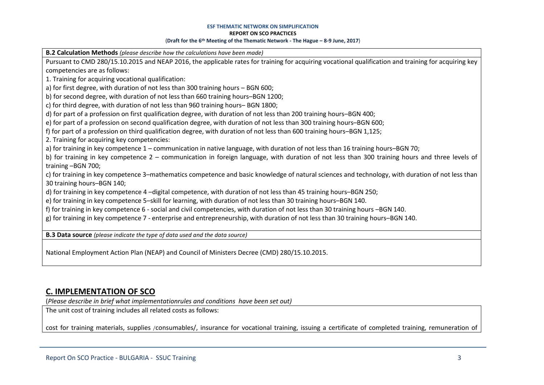#### **ESF THEMATIC NETWORK ON SIMPLIFICATION**

#### **REPORT ON SCO PRACTICES**

#### (**Draft for the 6th Meeting of the Thematic Network - The Hague – 8-9 June, 2017**)

**B.2 Calculation Methods** *(please describe how the calculations have been made)*

Pursuant to CMD 280/15.10.2015 and NEAP 2016, the applicable rates for training for acquiring vocational qualification and training for acquiring key competencies are as follows:

1. Training for acquiring vocational qualification:

a) for first degree, with duration of not less than 300 training hours – BGN 600;

b) for second degree, with duration of not less than 660 training hours–BGN 1200;

c) for third degree, with duration of not less than 960 training hours– BGN 1800;

d) for part of a profession on first qualification degree, with duration of not less than 200 training hours–BGN 400;

e) for part of a profession on second qualification degree, with duration of not less than 300 training hours–BGN 600;

f) for part of a profession on third qualification degree, with duration of not less than 600 training hours–BGN 1,125;

2. Training for acquiring key competencies:

а) for training in key competence 1 – communication in native language, with duration of not less than 16 training hours–BGN 70;

b) for training in key competence 2 – communication in foreign language, with duration of not less than 300 training hours and three levels of training –BGN 700;

c) for training in key competence 3–mathematics competence and basic knowledge of natural sciences and technology, with duration of not less than 30 training hours–BGN 140;

d) for training in key competence 4 –digital competence, with duration of not less than 45 training hours–BGN 250;

e) for training in key competence 5–skill for learning, with duration of not less than 30 training hours–BGN 140.

f) for training in key competence 6 - social and civil competencies, with duration of not less than 30 training hours –BGN 140.

g) for training in key competence 7 - enterprise and entrepreneurship, with duration of not less than 30 training hours–BGN 140.

**B.3 Data source** *(please indicate the type of data used and the data source)*

National Employment Action Plan (NEAP) and Council of Ministers Decree (CMD) 280/15.10.2015.

# **C. IMPLEMENTATION OF SCO**

(*Please describe in brief what implementationrules and conditions have been set out)*

The unit cost of training includes all related costs as follows:

cost for training materials, supplies /consumables/, insurance for vocational training, issuing a certificate of completed training, remuneration of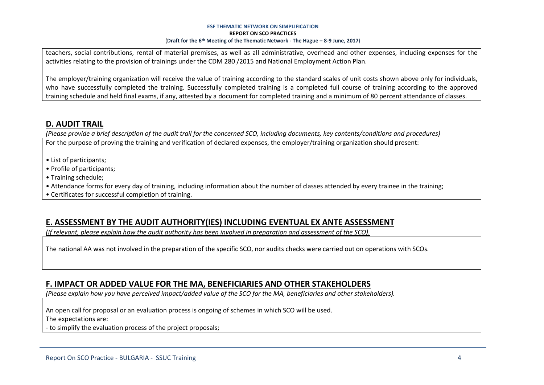#### **ESF THEMATIC NETWORK ON SIMPLIFICATION REPORT ON SCO PRACTICES** (**Draft for the 6th Meeting of the Thematic Network - The Hague – 8-9 June, 2017**)

teachers, social contributions, rental of material premises, as well as all administrative, overhead and other expenses, including expenses for the activities relating to the provision of trainings under the CDM 280 /2015 and National Employment Action Plan.

The employer/training organization will receive the value of training according to the standard scales of unit costs shown above only for individuals, who have successfully completed the training. Successfully completed training is a completed full course of training according to the approved training schedule and held final exams, if any, attested by a document for completed training and a minimum of 80 percent attendance of classes.

# **D. AUDIT TRAIL**

*(Please provide a brief description of the audit trail for the concerned SCO, including documents, key contents/conditions and procedures)*

For the purpose of proving the training and verification of declared expenses, the employer/training organization should present:

- List of participants;
- Profile of participants;
- Training schedule;
- Attendance forms for every day of training, including information about the number of classes attended by every trainee in the training;
- Certificates for successful completion of training.

# **E. ASSESSMENT BY THE AUDIT AUTHORITY(IES) INCLUDING EVENTUAL EX ANTE ASSESSMENT**

*(If relevant, please explain how the audit authority has been involved in preparation and assessment of the SCO).* 

The national AA was not involved in the preparation of the specific SCO, nor audits checks were carried out on operations with SCOs.

# **F. IMPACT OR ADDED VALUE FOR THE MA, BENEFICIARIES AND OTHER STAKEHOLDERS**

*(Please explain how you have perceived impact/added value of the SCO for the MA, beneficiaries and other stakeholders).* 

An open call for proposal or an evaluation process is ongoing of schemes in which SCO will be used. The expectations are:

- to simplify the evaluation process of the project proposals;